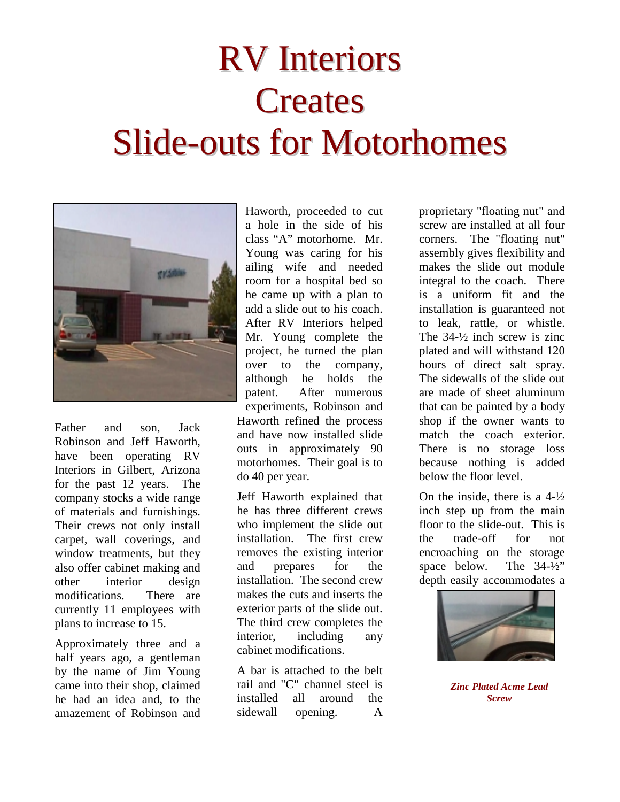## RV Interiors **Creates** Slide-outs for Motorhomes



Father and son, Jack Robinson and Jeff Haworth, have been operating RV Interiors in Gilbert, Arizona for the past 12 years. The company stocks a wide range of materials and furnishings. Their crews not only install carpet, wall coverings, and window treatments, but they also offer cabinet making and other interior design modifications. There are currently 11 employees with plans to increase to 15.

Approximately three and a half years ago, a gentleman by the name of Jim Young came into their shop, claimed he had an idea and, to the amazement of Robinson and

Haworth, proceeded to cut a hole in the side of his class "A" motorhome. Mr. Young was caring for his ailing wife and needed room for a hospital bed so he came up with a plan to add a slide out to his coach. After RV Interiors helped Mr. Young complete the project, he turned the plan over to the company, although he holds the patent. After numerous experiments, Robinson and Haworth refined the process and have now installed slide outs in approximately 90 motorhomes. Their goal is to do 40 per year.

Jeff Haworth explained that he has three different crews who implement the slide out installation. The first crew removes the existing interior and prepares for the installation. The second crew makes the cuts and inserts the exterior parts of the slide out. The third crew completes the interior, including any cabinet modifications.

A bar is attached to the belt rail and "C" channel steel is installed all around the sidewall opening. A

proprietary "floating nut" and screw are installed at all four corners. The "floating nut" assembly gives flexibility and makes the slide out module integral to the coach. There is a uniform fit and the installation is guaranteed not to leak, rattle, or whistle. The 34-½ inch screw is zinc plated and will withstand 120 hours of direct salt spray. The sidewalls of the slide out are made of sheet aluminum that can be painted by a body shop if the owner wants to match the coach exterior. There is no storage loss because nothing is added below the floor level.

On the inside, there is a  $4-\frac{1}{2}$ inch step up from the main floor to the slide-out. This is the trade-off for not encroaching on the storage space below. The 34-½" depth easily accommodates a



*Zinc Plated Acme Lead Screw*